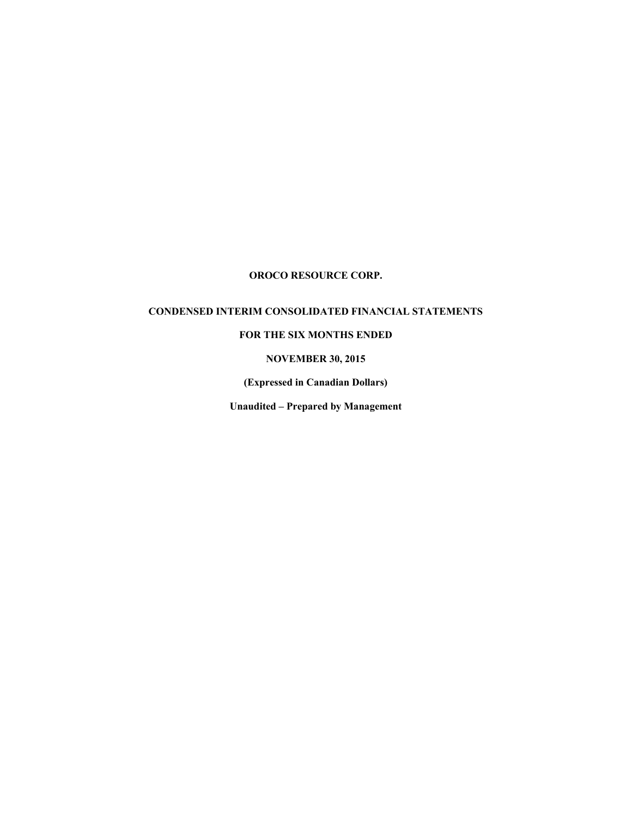# **CONDENSED INTERIM CONSOLIDATED FINANCIAL STATEMENTS**

# **FOR THE SIX MONTHS ENDED**

# **NOVEMBER 30, 2015**

**(Expressed in Canadian Dollars)** 

**Unaudited – Prepared by Management**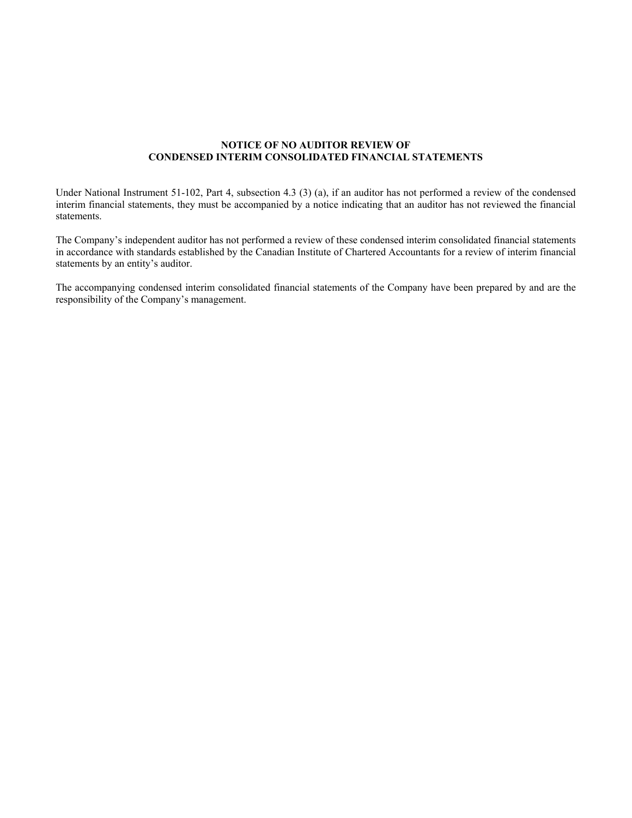#### **NOTICE OF NO AUDITOR REVIEW OF CONDENSED INTERIM CONSOLIDATED FINANCIAL STATEMENTS**

Under National Instrument 51-102, Part 4, subsection 4.3 (3) (a), if an auditor has not performed a review of the condensed interim financial statements, they must be accompanied by a notice indicating that an auditor has not reviewed the financial statements.

The Company's independent auditor has not performed a review of these condensed interim consolidated financial statements in accordance with standards established by the Canadian Institute of Chartered Accountants for a review of interim financial statements by an entity's auditor.

The accompanying condensed interim consolidated financial statements of the Company have been prepared by and are the responsibility of the Company's management.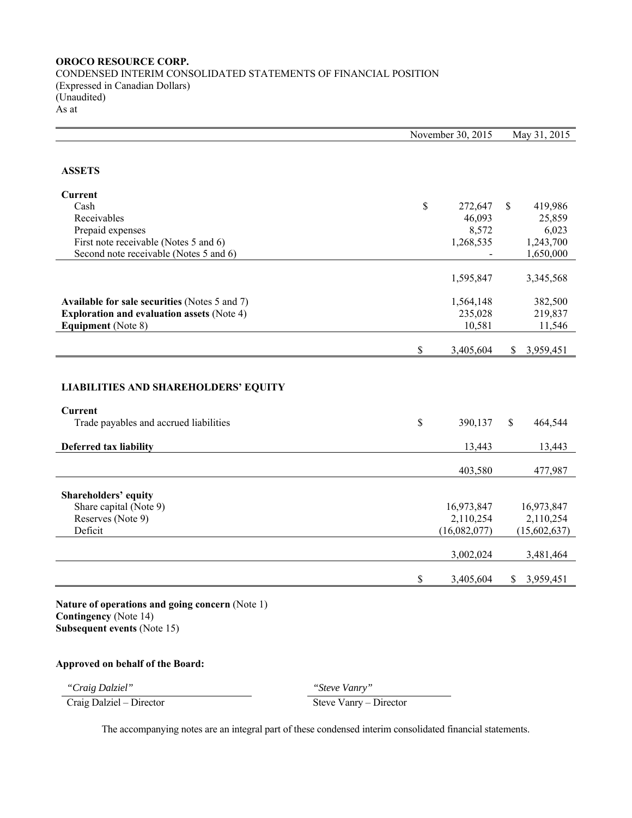CONDENSED INTERIM CONSOLIDATED STATEMENTS OF FINANCIAL POSITION (Expressed in Canadian Dollars) (Unaudited) As at

|                                                          | November 30, 2015 |              |              | May 31, 2015 |  |
|----------------------------------------------------------|-------------------|--------------|--------------|--------------|--|
| <b>ASSETS</b>                                            |                   |              |              |              |  |
| <b>Current</b>                                           |                   |              |              |              |  |
| Cash                                                     | \$                | 272,647      | \$           | 419,986      |  |
| Receivables                                              |                   | 46,093       |              | 25,859       |  |
| Prepaid expenses                                         |                   | 8,572        |              | 6,023        |  |
| First note receivable (Notes 5 and 6)                    |                   | 1,268,535    |              | 1,243,700    |  |
| Second note receivable (Notes 5 and 6)                   |                   |              |              | 1,650,000    |  |
|                                                          |                   | 1,595,847    |              | 3,345,568    |  |
| Available for sale securities (Notes 5 and 7)            |                   | 1,564,148    |              | 382,500      |  |
| <b>Exploration and evaluation assets (Note 4)</b>        |                   | 235,028      |              | 219,837      |  |
| <b>Equipment</b> (Note 8)                                |                   | 10,581       |              | 11,546       |  |
|                                                          | \$                | 3,405,604    | \$           | 3,959,451    |  |
| <b>LIABILITIES AND SHAREHOLDERS' EQUITY</b>              |                   |              |              |              |  |
| <b>Current</b><br>Trade payables and accrued liabilities | \$                | 390,137      | $\mathbb{S}$ | 464,544      |  |
| Deferred tax liability                                   |                   | 13,443       |              | 13,443       |  |
|                                                          |                   | 403,580      |              | 477,987      |  |
| Shareholders' equity                                     |                   |              |              |              |  |
| Share capital (Note 9)                                   |                   | 16,973,847   |              | 16,973,847   |  |
| Reserves (Note 9)                                        |                   | 2,110,254    |              | 2,110,254    |  |
| Deficit                                                  |                   | (16,082,077) |              | (15,602,637) |  |
|                                                          |                   | 3,002,024    |              | 3,481,464    |  |
|                                                          | \$                | 3,405,604    | \$           | 3,959,451    |  |

**Nature of operations and going concern** (Note 1) **Contingency** (Note 14) **Subsequent events** (Note 15)

## **Approved on behalf of the Board:**

*"Craig Dalziel" "Steve Vanry"* 

Craig Dalziel – Director Steve Vanry – Director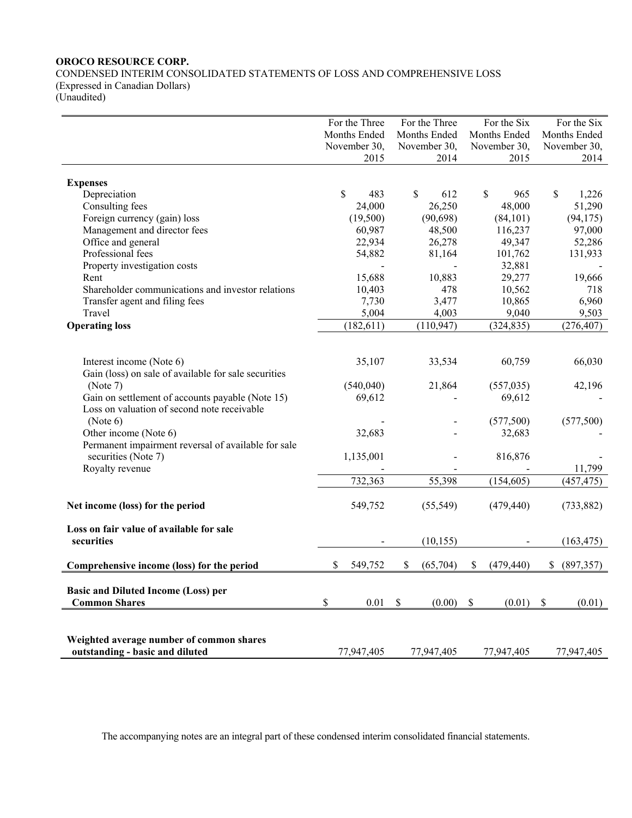CONDENSED INTERIM CONSOLIDATED STATEMENTS OF LOSS AND COMPREHENSIVE LOSS (Expressed in Canadian Dollars) (Unaudited)

|                                                      | For the Three |                           | For the Three | For the Six      | For the Six      |
|------------------------------------------------------|---------------|---------------------------|---------------|------------------|------------------|
|                                                      | Months Ended  |                           | Months Ended  | Months Ended     | Months Ended     |
|                                                      | November 30,  |                           | November 30,  | November 30,     | November 30,     |
|                                                      | 2015          |                           | 2014          | 2015             | 2014             |
|                                                      |               |                           |               |                  |                  |
| <b>Expenses</b>                                      |               |                           |               |                  |                  |
| Depreciation                                         | \$<br>483     |                           | \$<br>612     | \$<br>965        | \$<br>1,226      |
| Consulting fees                                      | 24,000        |                           | 26,250        | 48,000           | 51,290           |
| Foreign currency (gain) loss                         | (19,500)      |                           | (90, 698)     | (84,101)         | (94, 175)        |
| Management and director fees                         | 60,987        |                           | 48,500        | 116,237          | 97,000           |
| Office and general                                   | 22,934        |                           | 26,278        | 49,347           | 52,286           |
| Professional fees                                    | 54,882        |                           | 81,164        | 101,762          | 131,933          |
| Property investigation costs                         |               |                           |               | 32,881           |                  |
| Rent                                                 | 15,688        |                           | 10,883        | 29,277           | 19,666           |
| Shareholder communications and investor relations    | 10,403        |                           | 478           | 10,562           | 718              |
| Transfer agent and filing fees                       | 7,730         |                           | 3,477         | 10,865           | 6,960            |
| Travel                                               | 5,004         |                           | 4,003         | 9,040            | 9,503            |
| <b>Operating loss</b>                                | (182, 611)    |                           | (110, 947)    | (324, 835)       | (276, 407)       |
|                                                      |               |                           |               |                  |                  |
|                                                      |               |                           |               |                  |                  |
| Interest income (Note 6)                             | 35,107        |                           | 33,534        | 60,759           | 66,030           |
| Gain (loss) on sale of available for sale securities |               |                           |               |                  |                  |
| (Note 7)                                             | (540, 040)    |                           | 21,864        | (557, 035)       | 42,196           |
| Gain on settlement of accounts payable (Note 15)     | 69,612        |                           |               | 69,612           |                  |
| Loss on valuation of second note receivable          |               |                           |               |                  |                  |
| (Note 6)                                             |               |                           |               | (577,500)        | (577,500)        |
| Other income (Note 6)                                | 32,683        |                           |               | 32,683           |                  |
| Permanent impairment reversal of available for sale  |               |                           |               |                  |                  |
| securities (Note 7)                                  | 1,135,001     |                           |               | 816,876          |                  |
| Royalty revenue                                      |               |                           |               |                  | 11,799           |
|                                                      | 732,363       |                           | 55,398        | (154, 605)       | (457, 475)       |
|                                                      |               |                           |               |                  |                  |
| Net income (loss) for the period                     | 549,752       |                           | (55, 549)     | (479, 440)       | (733, 882)       |
|                                                      |               |                           |               |                  |                  |
| Loss on fair value of available for sale             |               |                           |               |                  |                  |
| securities                                           |               |                           | (10, 155)     |                  | (163, 475)       |
|                                                      |               |                           |               |                  |                  |
| Comprehensive income (loss) for the period           | \$<br>549,752 | \$                        | (65,704)      | \$<br>(479, 440) | \$<br>(897, 357) |
|                                                      |               |                           |               |                  |                  |
| <b>Basic and Diluted Income (Loss) per</b>           |               |                           |               |                  |                  |
| <b>Common Shares</b>                                 | \$<br>0.01    | $\boldsymbol{\mathsf{S}}$ | (0.00)        | \$<br>(0.01)     | \$<br>(0.01)     |
|                                                      |               |                           |               |                  |                  |
|                                                      |               |                           |               |                  |                  |
| Weighted average number of common shares             |               |                           |               |                  |                  |
| outstanding - basic and diluted                      | 77,947,405    |                           | 77,947,405    | 77,947,405       | 77,947,405       |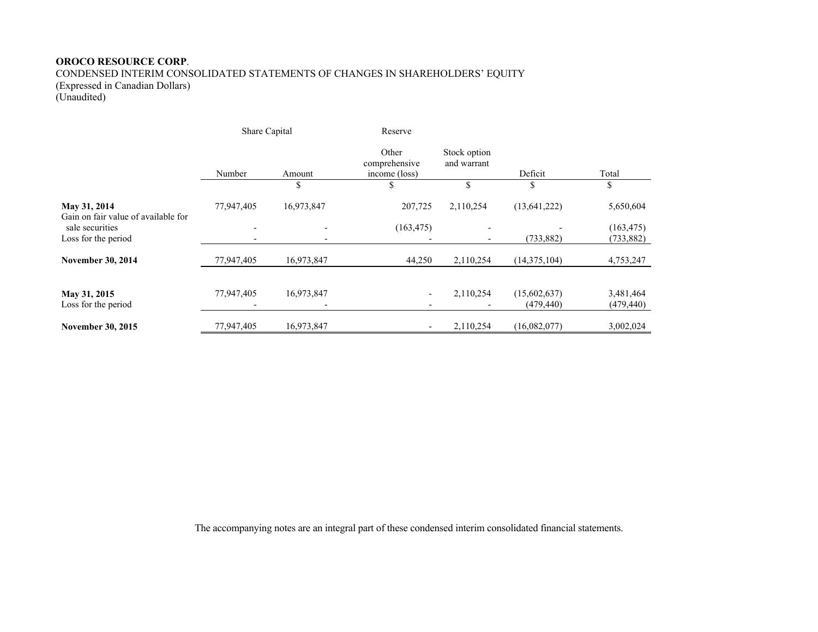CONDENSED INTERIM CONSOLIDATED STATEMENTS OF CHANGES IN SHAREHOLDERS' EQUITY (Expressed in Canadian Dollars)

(Unaudited)

|                                                     | Share Capital                                        |            | Reserve                                 |                             |                           |                          |
|-----------------------------------------------------|------------------------------------------------------|------------|-----------------------------------------|-----------------------------|---------------------------|--------------------------|
|                                                     | Number                                               | Amount     | Other<br>comprehensive<br>income (loss) | Stock option<br>and warrant | Deficit                   | Total                    |
|                                                     |                                                      | \$         |                                         |                             |                           | ъ                        |
| May 31, 2014<br>Gain on fair value of available for | 77,947,405                                           | 16,973,847 | 207,725                                 | 2,110,254                   | (13, 641, 222)            | 5,650,604                |
| sale securities<br>Loss for the period              | $\overline{\phantom{0}}$<br>$\overline{\phantom{a}}$ |            | (163, 475)                              | $\overline{\phantom{0}}$    | (733, 882)                | (163, 475)<br>(733, 882) |
| <b>November 30, 2014</b>                            | 77,947,405                                           | 16,973,847 | 44,250                                  | 2,110,254                   | (14,375,104)              | 4,753,247                |
| May 31, 2015<br>Loss for the period                 | 77,947,405                                           | 16,973,847 | -<br>$\overline{\phantom{a}}$           | 2,110,254                   | (15,602,637)<br>(479,440) | 3,481,464<br>(479, 440)  |
| <b>November 30, 2015</b>                            | 77,947,405                                           | 16,973,847 | $\overline{\phantom{a}}$                | 2,110,254                   | (16,082,077)              | 3,002,024                |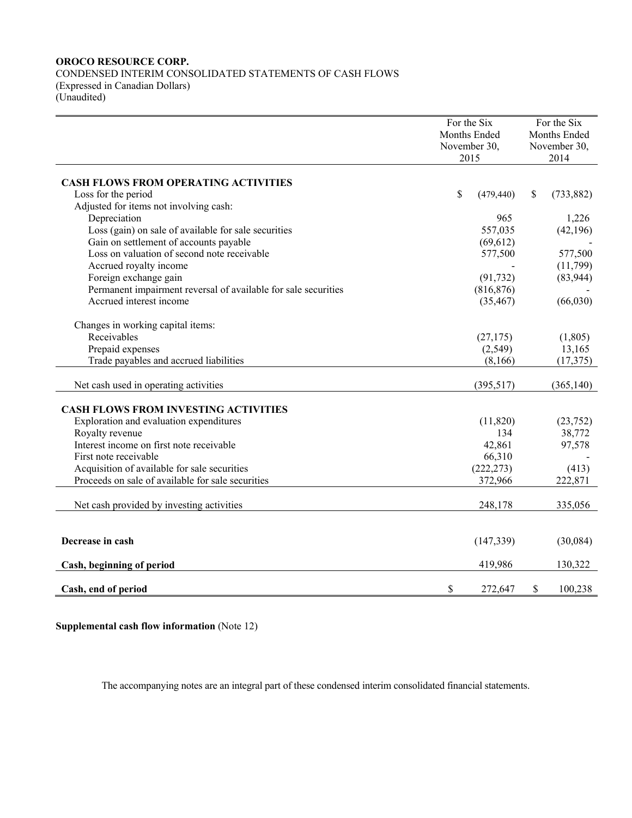CONDENSED INTERIM CONSOLIDATED STATEMENTS OF CASH FLOWS (Expressed in Canadian Dollars) (Unaudited)

|                                                                | For the Six |              |              | For the Six  |  |  |
|----------------------------------------------------------------|-------------|--------------|--------------|--------------|--|--|
|                                                                |             | Months Ended |              | Months Ended |  |  |
|                                                                |             | November 30, |              | November 30, |  |  |
|                                                                |             | 2015         |              | 2014         |  |  |
|                                                                |             |              |              |              |  |  |
| <b>CASH FLOWS FROM OPERATING ACTIVITIES</b>                    |             |              |              |              |  |  |
| Loss for the period                                            | \$          | (479, 440)   | $\mathbb{S}$ | (733, 882)   |  |  |
| Adjusted for items not involving cash:                         |             |              |              |              |  |  |
| Depreciation                                                   |             | 965          |              | 1,226        |  |  |
| Loss (gain) on sale of available for sale securities           |             | 557,035      |              | (42, 196)    |  |  |
| Gain on settlement of accounts payable                         |             | (69, 612)    |              |              |  |  |
| Loss on valuation of second note receivable                    |             | 577,500      |              | 577,500      |  |  |
| Accrued royalty income                                         |             |              |              | (11,799)     |  |  |
| Foreign exchange gain                                          |             | (91, 732)    |              | (83, 944)    |  |  |
| Permanent impairment reversal of available for sale securities |             | (816, 876)   |              |              |  |  |
| Accrued interest income                                        |             | (35, 467)    |              | (66,030)     |  |  |
|                                                                |             |              |              |              |  |  |
| Changes in working capital items:                              |             |              |              |              |  |  |
| Receivables                                                    |             | (27, 175)    |              | (1,805)      |  |  |
| Prepaid expenses                                               |             | (2,549)      |              | 13,165       |  |  |
| Trade payables and accrued liabilities                         |             | (8,166)      |              | (17, 375)    |  |  |
| Net cash used in operating activities                          |             | (395,517)    |              | (365, 140)   |  |  |
|                                                                |             |              |              |              |  |  |
| <b>CASH FLOWS FROM INVESTING ACTIVITIES</b>                    |             |              |              |              |  |  |
| Exploration and evaluation expenditures                        |             | (11,820)     |              | (23,752)     |  |  |
| Royalty revenue                                                |             | 134          |              | 38,772       |  |  |
| Interest income on first note receivable                       |             | 42,861       |              | 97,578       |  |  |
| First note receivable                                          |             | 66,310       |              |              |  |  |
| Acquisition of available for sale securities                   |             | (222, 273)   |              | (413)        |  |  |
| Proceeds on sale of available for sale securities              |             | 372,966      |              | 222,871      |  |  |
|                                                                |             |              |              |              |  |  |
| Net cash provided by investing activities                      |             | 248,178      |              | 335,056      |  |  |
|                                                                |             |              |              |              |  |  |
|                                                                |             |              |              |              |  |  |
| Decrease in cash                                               |             | (147, 339)   |              | (30,084)     |  |  |
| Cash, beginning of period                                      |             | 419,986      |              | 130,322      |  |  |
|                                                                |             |              |              |              |  |  |
| Cash, end of period                                            | \$          | 272,647      | \$           | 100,238      |  |  |

**Supplemental cash flow information** (Note 12)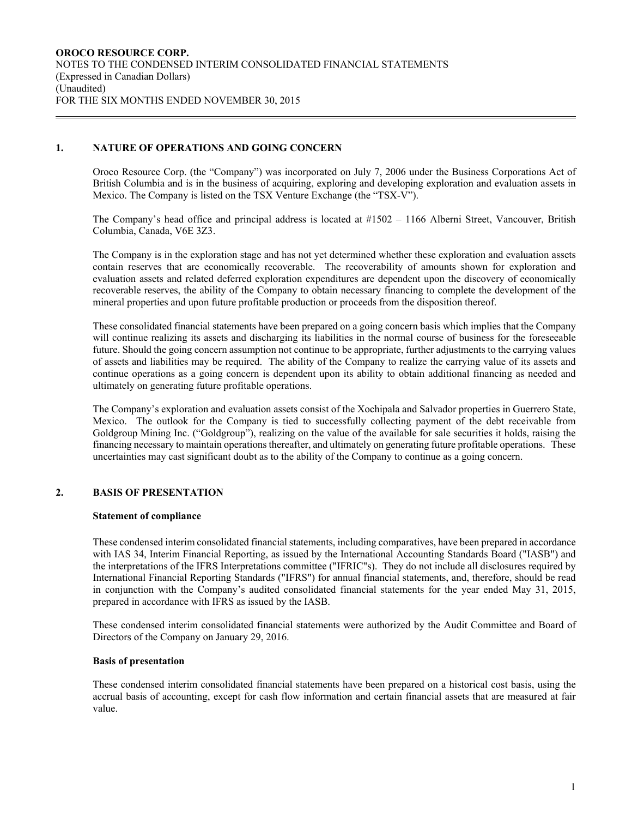### **1. NATURE OF OPERATIONS AND GOING CONCERN**

Oroco Resource Corp. (the "Company") was incorporated on July 7, 2006 under the Business Corporations Act of British Columbia and is in the business of acquiring, exploring and developing exploration and evaluation assets in Mexico. The Company is listed on the TSX Venture Exchange (the "TSX-V").

The Company's head office and principal address is located at #1502 – 1166 Alberni Street, Vancouver, British Columbia, Canada, V6E 3Z3.

The Company is in the exploration stage and has not yet determined whether these exploration and evaluation assets contain reserves that are economically recoverable. The recoverability of amounts shown for exploration and evaluation assets and related deferred exploration expenditures are dependent upon the discovery of economically recoverable reserves, the ability of the Company to obtain necessary financing to complete the development of the mineral properties and upon future profitable production or proceeds from the disposition thereof.

These consolidated financial statements have been prepared on a going concern basis which implies that the Company will continue realizing its assets and discharging its liabilities in the normal course of business for the foreseeable future. Should the going concern assumption not continue to be appropriate, further adjustments to the carrying values of assets and liabilities may be required. The ability of the Company to realize the carrying value of its assets and continue operations as a going concern is dependent upon its ability to obtain additional financing as needed and ultimately on generating future profitable operations.

The Company's exploration and evaluation assets consist of the Xochipala and Salvador properties in Guerrero State, Mexico. The outlook for the Company is tied to successfully collecting payment of the debt receivable from Goldgroup Mining Inc. ("Goldgroup"), realizing on the value of the available for sale securities it holds, raising the financing necessary to maintain operations thereafter, and ultimately on generating future profitable operations. These uncertainties may cast significant doubt as to the ability of the Company to continue as a going concern.

### **2. BASIS OF PRESENTATION**

#### **Statement of compliance**

These condensed interim consolidated financial statements, including comparatives, have been prepared in accordance with IAS 34, Interim Financial Reporting, as issued by the International Accounting Standards Board ("IASB") and the interpretations of the IFRS Interpretations committee ("IFRIC"s). They do not include all disclosures required by International Financial Reporting Standards ("IFRS") for annual financial statements, and, therefore, should be read in conjunction with the Company's audited consolidated financial statements for the year ended May 31, 2015, prepared in accordance with IFRS as issued by the IASB.

These condensed interim consolidated financial statements were authorized by the Audit Committee and Board of Directors of the Company on January 29, 2016.

#### **Basis of presentation**

These condensed interim consolidated financial statements have been prepared on a historical cost basis, using the accrual basis of accounting, except for cash flow information and certain financial assets that are measured at fair value.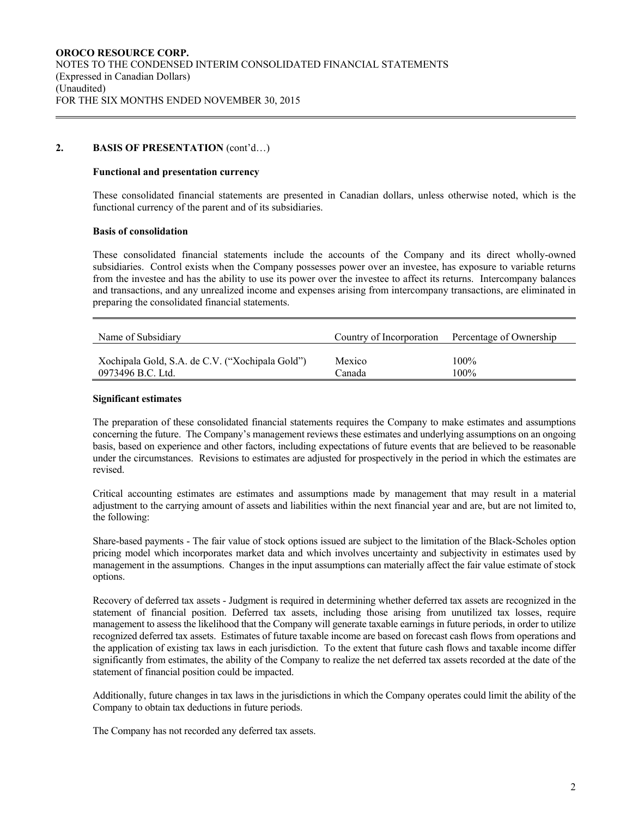#### 2. **BASIS OF PRESENTATION** (cont'd...)

#### **Functional and presentation currency**

These consolidated financial statements are presented in Canadian dollars, unless otherwise noted, which is the functional currency of the parent and of its subsidiaries.

#### **Basis of consolidation**

These consolidated financial statements include the accounts of the Company and its direct wholly-owned subsidiaries. Control exists when the Company possesses power over an investee, has exposure to variable returns from the investee and has the ability to use its power over the investee to affect its returns. Intercompany balances and transactions, and any unrealized income and expenses arising from intercompany transactions, are eliminated in preparing the consolidated financial statements.

| Name of Subsidiary                              | Country of Incorporation | Percentage of Ownership |
|-------------------------------------------------|--------------------------|-------------------------|
| Xochipala Gold, S.A. de C.V. ("Xochipala Gold") | Mexico                   | $100\%$                 |
| 0973496 B.C. Ltd.                               | Canada                   | $100\%$                 |

#### **Significant estimates**

The preparation of these consolidated financial statements requires the Company to make estimates and assumptions concerning the future. The Company's management reviews these estimates and underlying assumptions on an ongoing basis, based on experience and other factors, including expectations of future events that are believed to be reasonable under the circumstances. Revisions to estimates are adjusted for prospectively in the period in which the estimates are revised.

Critical accounting estimates are estimates and assumptions made by management that may result in a material adjustment to the carrying amount of assets and liabilities within the next financial year and are, but are not limited to, the following:

Share-based payments - The fair value of stock options issued are subject to the limitation of the Black-Scholes option pricing model which incorporates market data and which involves uncertainty and subjectivity in estimates used by management in the assumptions. Changes in the input assumptions can materially affect the fair value estimate of stock options.

Recovery of deferred tax assets - Judgment is required in determining whether deferred tax assets are recognized in the statement of financial position. Deferred tax assets, including those arising from unutilized tax losses, require management to assess the likelihood that the Company will generate taxable earnings in future periods, in order to utilize recognized deferred tax assets. Estimates of future taxable income are based on forecast cash flows from operations and the application of existing tax laws in each jurisdiction. To the extent that future cash flows and taxable income differ significantly from estimates, the ability of the Company to realize the net deferred tax assets recorded at the date of the statement of financial position could be impacted.

Additionally, future changes in tax laws in the jurisdictions in which the Company operates could limit the ability of the Company to obtain tax deductions in future periods.

The Company has not recorded any deferred tax assets.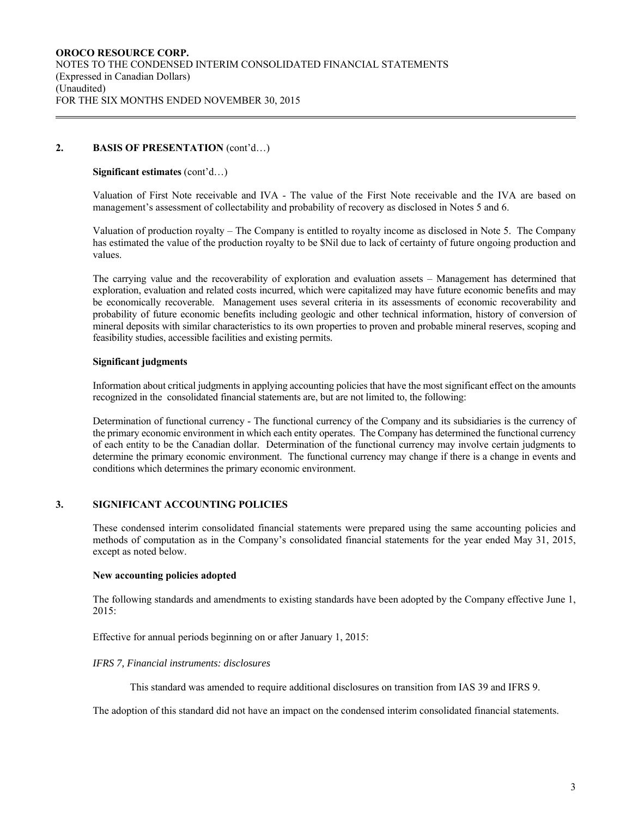### 2. **BASIS OF PRESENTATION** (cont'd...)

#### **Significant estimates** (cont'd…)

Valuation of First Note receivable and IVA - The value of the First Note receivable and the IVA are based on management's assessment of collectability and probability of recovery as disclosed in Notes 5 and 6.

Valuation of production royalty – The Company is entitled to royalty income as disclosed in Note 5. The Company has estimated the value of the production royalty to be \$Nil due to lack of certainty of future ongoing production and values.

The carrying value and the recoverability of exploration and evaluation assets – Management has determined that exploration, evaluation and related costs incurred, which were capitalized may have future economic benefits and may be economically recoverable. Management uses several criteria in its assessments of economic recoverability and probability of future economic benefits including geologic and other technical information, history of conversion of mineral deposits with similar characteristics to its own properties to proven and probable mineral reserves, scoping and feasibility studies, accessible facilities and existing permits.

### **Significant judgments**

Information about critical judgments in applying accounting policies that have the most significant effect on the amounts recognized in the consolidated financial statements are, but are not limited to, the following:

Determination of functional currency - The functional currency of the Company and its subsidiaries is the currency of the primary economic environment in which each entity operates. The Company has determined the functional currency of each entity to be the Canadian dollar. Determination of the functional currency may involve certain judgments to determine the primary economic environment. The functional currency may change if there is a change in events and conditions which determines the primary economic environment.

### **3. SIGNIFICANT ACCOUNTING POLICIES**

These condensed interim consolidated financial statements were prepared using the same accounting policies and methods of computation as in the Company's consolidated financial statements for the year ended May 31, 2015, except as noted below.

### **New accounting policies adopted**

The following standards and amendments to existing standards have been adopted by the Company effective June 1, 2015:

Effective for annual periods beginning on or after January 1, 2015:

### *IFRS 7, Financial instruments: disclosures*

This standard was amended to require additional disclosures on transition from IAS 39 and IFRS 9.

The adoption of this standard did not have an impact on the condensed interim consolidated financial statements.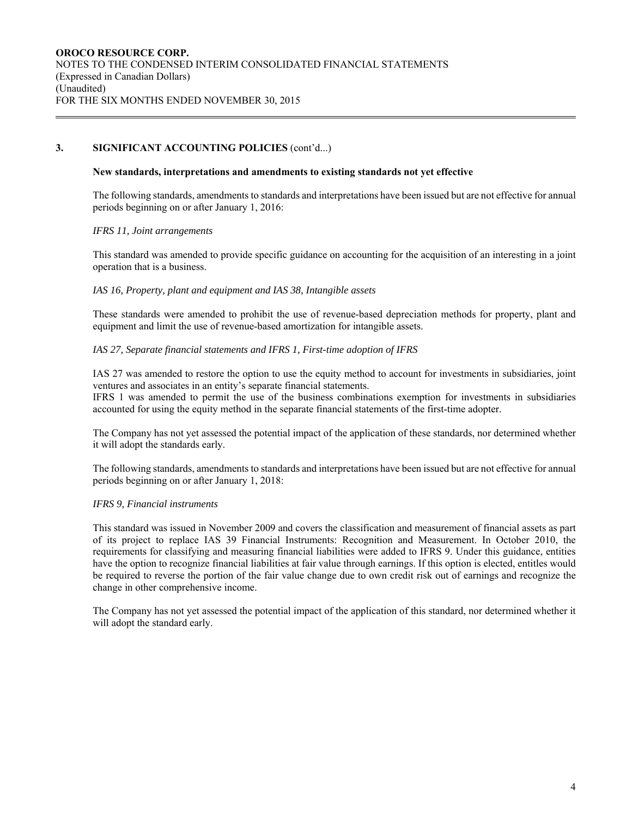## **3. SIGNIFICANT ACCOUNTING POLICIES** (cont'd...)

#### **New standards, interpretations and amendments to existing standards not yet effective**

The following standards, amendments to standards and interpretations have been issued but are not effective for annual periods beginning on or after January 1, 2016:

#### *IFRS 11, Joint arrangements*

This standard was amended to provide specific guidance on accounting for the acquisition of an interesting in a joint operation that is a business.

### *IAS 16, Property, plant and equipment and IAS 38, Intangible assets*

These standards were amended to prohibit the use of revenue-based depreciation methods for property, plant and equipment and limit the use of revenue-based amortization for intangible assets.

#### *IAS 27, Separate financial statements and IFRS 1, First-time adoption of IFRS*

IAS 27 was amended to restore the option to use the equity method to account for investments in subsidiaries, joint ventures and associates in an entity's separate financial statements.

IFRS 1 was amended to permit the use of the business combinations exemption for investments in subsidiaries accounted for using the equity method in the separate financial statements of the first-time adopter.

The Company has not yet assessed the potential impact of the application of these standards, nor determined whether it will adopt the standards early.

The following standards, amendments to standards and interpretations have been issued but are not effective for annual periods beginning on or after January 1, 2018:

### *IFRS 9, Financial instruments*

This standard was issued in November 2009 and covers the classification and measurement of financial assets as part of its project to replace IAS 39 Financial Instruments: Recognition and Measurement. In October 2010, the requirements for classifying and measuring financial liabilities were added to IFRS 9. Under this guidance, entities have the option to recognize financial liabilities at fair value through earnings. If this option is elected, entitles would be required to reverse the portion of the fair value change due to own credit risk out of earnings and recognize the change in other comprehensive income.

The Company has not yet assessed the potential impact of the application of this standard, nor determined whether it will adopt the standard early.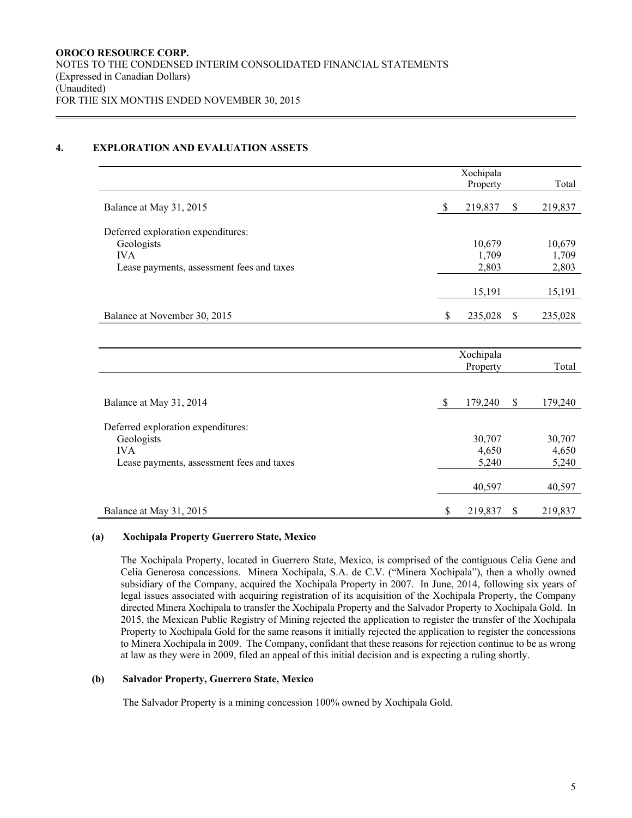### **4. EXPLORATION AND EVALUATION ASSETS**

|                                                  | Xochipala     |                           |         |
|--------------------------------------------------|---------------|---------------------------|---------|
|                                                  | Property      |                           | Total   |
| Balance at May 31, 2015                          | \$<br>219,837 | \$                        | 219,837 |
|                                                  |               |                           |         |
| Deferred exploration expenditures:<br>Geologists | 10,679        |                           | 10,679  |
| <b>IVA</b>                                       | 1,709         |                           | 1,709   |
| Lease payments, assessment fees and taxes        | 2,803         |                           | 2,803   |
|                                                  |               |                           |         |
|                                                  | 15,191        |                           | 15,191  |
| Balance at November 30, 2015                     | \$<br>235,028 | $\boldsymbol{\mathsf{S}}$ | 235,028 |
|                                                  |               |                           |         |
|                                                  | Xochipala     |                           |         |
|                                                  | Property      |                           | Total   |
|                                                  |               |                           |         |
| Balance at May 31, 2014                          | \$<br>179,240 | \$                        | 179,240 |
| Deferred exploration expenditures:               |               |                           |         |
| Geologists                                       | 30,707        |                           | 30,707  |
| <b>IVA</b>                                       | 4,650         |                           | 4,650   |
| Lease payments, assessment fees and taxes        | 5,240         |                           | 5,240   |
|                                                  | 40,597        |                           | 40,597  |
| Balance at May 31, 2015                          | \$<br>219,837 | \$                        | 219,837 |

### **(a) Xochipala Property Guerrero State, Mexico**

The Xochipala Property, located in Guerrero State, Mexico, is comprised of the contiguous Celia Gene and Celia Generosa concessions. Minera Xochipala, S.A. de C.V. ("Minera Xochipala"), then a wholly owned subsidiary of the Company, acquired the Xochipala Property in 2007. In June, 2014, following six years of legal issues associated with acquiring registration of its acquisition of the Xochipala Property, the Company directed Minera Xochipala to transfer the Xochipala Property and the Salvador Property to Xochipala Gold. In 2015, the Mexican Public Registry of Mining rejected the application to register the transfer of the Xochipala Property to Xochipala Gold for the same reasons it initially rejected the application to register the concessions to Minera Xochipala in 2009. The Company, confidant that these reasons for rejection continue to be as wrong at law as they were in 2009, filed an appeal of this initial decision and is expecting a ruling shortly.

### **(b) Salvador Property, Guerrero State, Mexico**

The Salvador Property is a mining concession 100% owned by Xochipala Gold.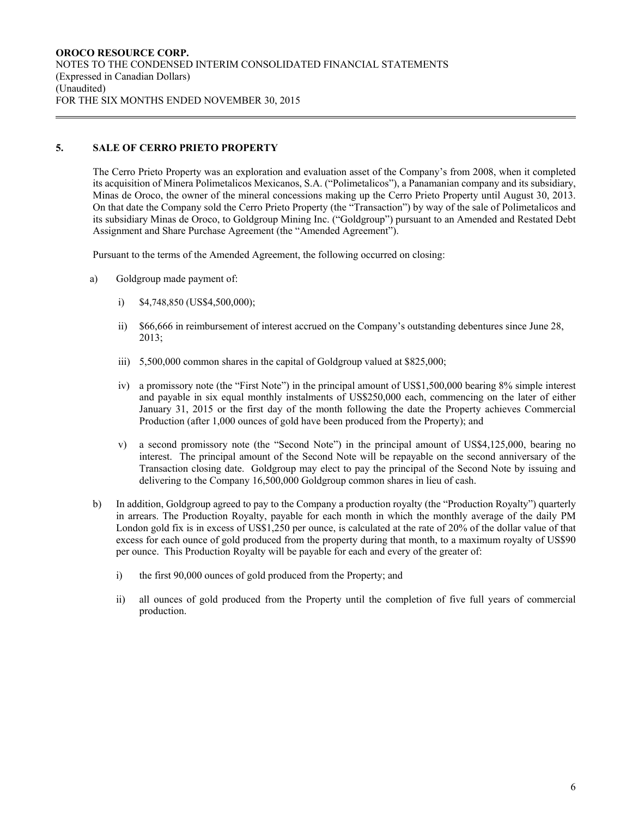## **5. SALE OF CERRO PRIETO PROPERTY**

The Cerro Prieto Property was an exploration and evaluation asset of the Company's from 2008, when it completed its acquisition of Minera Polimetalicos Mexicanos, S.A. ("Polimetalicos"), a Panamanian company and its subsidiary, Minas de Oroco, the owner of the mineral concessions making up the Cerro Prieto Property until August 30, 2013. On that date the Company sold the Cerro Prieto Property (the "Transaction") by way of the sale of Polimetalicos and its subsidiary Minas de Oroco, to Goldgroup Mining Inc. ("Goldgroup") pursuant to an Amended and Restated Debt Assignment and Share Purchase Agreement (the "Amended Agreement").

Pursuant to the terms of the Amended Agreement, the following occurred on closing:

- a) Goldgroup made payment of:
	- i) \$4,748,850 (US\$4,500,000);
	- ii) \$66,666 in reimbursement of interest accrued on the Company's outstanding debentures since June 28, 2013;
	- iii) 5,500,000 common shares in the capital of Goldgroup valued at \$825,000;
	- iv) a promissory note (the "First Note") in the principal amount of US\$1,500,000 bearing 8% simple interest and payable in six equal monthly instalments of US\$250,000 each, commencing on the later of either January 31, 2015 or the first day of the month following the date the Property achieves Commercial Production (after 1,000 ounces of gold have been produced from the Property); and
	- v) a second promissory note (the "Second Note") in the principal amount of US\$4,125,000, bearing no interest. The principal amount of the Second Note will be repayable on the second anniversary of the Transaction closing date. Goldgroup may elect to pay the principal of the Second Note by issuing and delivering to the Company 16,500,000 Goldgroup common shares in lieu of cash.
- b) In addition, Goldgroup agreed to pay to the Company a production royalty (the "Production Royalty") quarterly in arrears. The Production Royalty, payable for each month in which the monthly average of the daily PM London gold fix is in excess of US\$1,250 per ounce, is calculated at the rate of 20% of the dollar value of that excess for each ounce of gold produced from the property during that month, to a maximum royalty of US\$90 per ounce. This Production Royalty will be payable for each and every of the greater of:
	- i) the first 90,000 ounces of gold produced from the Property; and
	- ii) all ounces of gold produced from the Property until the completion of five full years of commercial production.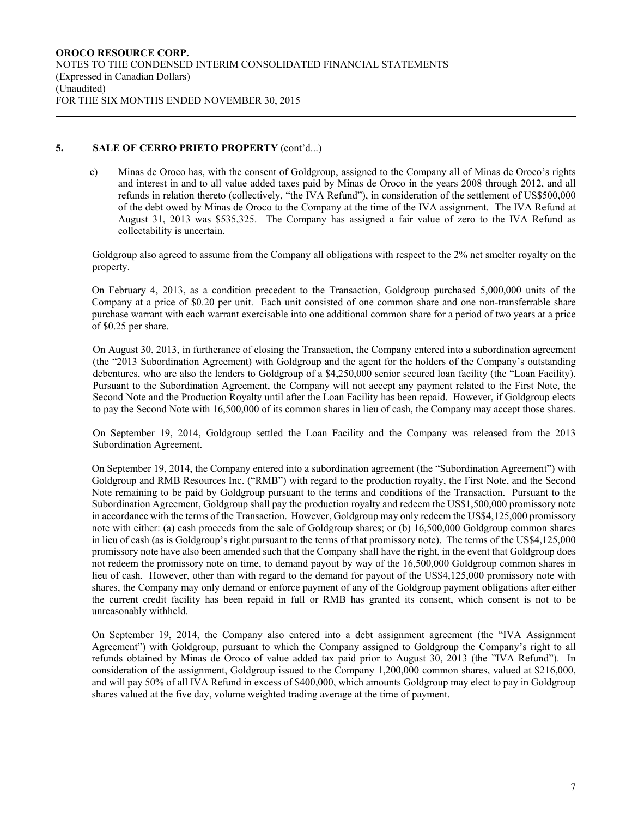## **5. SALE OF CERRO PRIETO PROPERTY** (cont'd...)

c) Minas de Oroco has, with the consent of Goldgroup, assigned to the Company all of Minas de Oroco's rights and interest in and to all value added taxes paid by Minas de Oroco in the years 2008 through 2012, and all refunds in relation thereto (collectively, "the IVA Refund"), in consideration of the settlement of US\$500,000 of the debt owed by Minas de Oroco to the Company at the time of the IVA assignment. The IVA Refund at August 31, 2013 was \$535,325. The Company has assigned a fair value of zero to the IVA Refund as collectability is uncertain.

Goldgroup also agreed to assume from the Company all obligations with respect to the 2% net smelter royalty on the property.

On February 4, 2013, as a condition precedent to the Transaction, Goldgroup purchased 5,000,000 units of the Company at a price of \$0.20 per unit. Each unit consisted of one common share and one non-transferrable share purchase warrant with each warrant exercisable into one additional common share for a period of two years at a price of \$0.25 per share.

On August 30, 2013, in furtherance of closing the Transaction, the Company entered into a subordination agreement (the "2013 Subordination Agreement) with Goldgroup and the agent for the holders of the Company's outstanding debentures, who are also the lenders to Goldgroup of a \$4,250,000 senior secured loan facility (the "Loan Facility). Pursuant to the Subordination Agreement, the Company will not accept any payment related to the First Note, the Second Note and the Production Royalty until after the Loan Facility has been repaid. However, if Goldgroup elects to pay the Second Note with 16,500,000 of its common shares in lieu of cash, the Company may accept those shares.

On September 19, 2014, Goldgroup settled the Loan Facility and the Company was released from the 2013 Subordination Agreement.

On September 19, 2014, the Company entered into a subordination agreement (the "Subordination Agreement") with Goldgroup and RMB Resources Inc. ("RMB") with regard to the production royalty, the First Note, and the Second Note remaining to be paid by Goldgroup pursuant to the terms and conditions of the Transaction. Pursuant to the Subordination Agreement, Goldgroup shall pay the production royalty and redeem the US\$1,500,000 promissory note in accordance with the terms of the Transaction. However, Goldgroup may only redeem the US\$4,125,000 promissory note with either: (a) cash proceeds from the sale of Goldgroup shares; or (b) 16,500,000 Goldgroup common shares in lieu of cash (as is Goldgroup's right pursuant to the terms of that promissory note). The terms of the US\$4,125,000 promissory note have also been amended such that the Company shall have the right, in the event that Goldgroup does not redeem the promissory note on time, to demand payout by way of the 16,500,000 Goldgroup common shares in lieu of cash. However, other than with regard to the demand for payout of the US\$4,125,000 promissory note with shares, the Company may only demand or enforce payment of any of the Goldgroup payment obligations after either the current credit facility has been repaid in full or RMB has granted its consent, which consent is not to be unreasonably withheld.

On September 19, 2014, the Company also entered into a debt assignment agreement (the "IVA Assignment Agreement") with Goldgroup, pursuant to which the Company assigned to Goldgroup the Company's right to all refunds obtained by Minas de Oroco of value added tax paid prior to August 30, 2013 (the "IVA Refund"). In consideration of the assignment, Goldgroup issued to the Company 1,200,000 common shares, valued at \$216,000, and will pay 50% of all IVA Refund in excess of \$400,000, which amounts Goldgroup may elect to pay in Goldgroup shares valued at the five day, volume weighted trading average at the time of payment.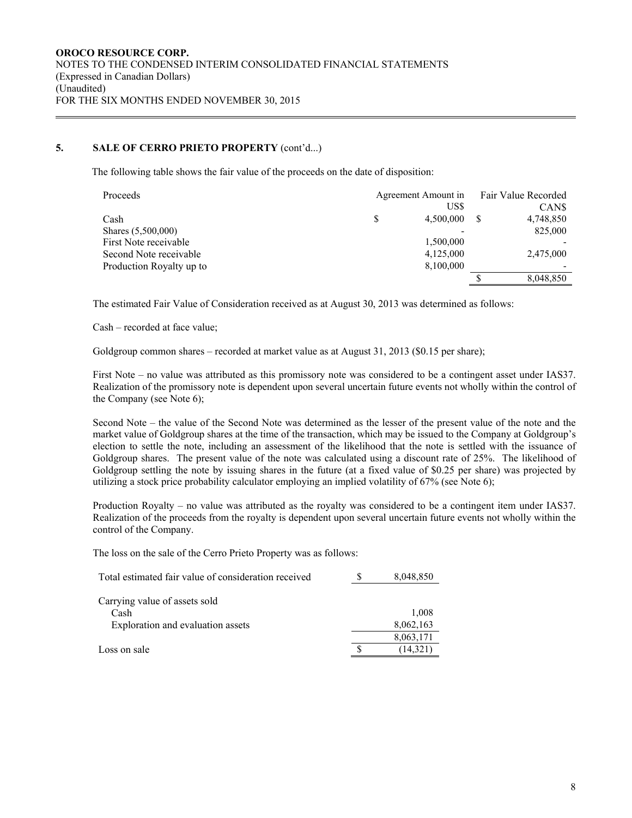## **5. SALE OF CERRO PRIETO PROPERTY** (cont'd...)

The following table shows the fair value of the proceeds on the date of disposition:

| Proceeds                 | Agreement Amount in | Fair Value Recorded |  |  |
|--------------------------|---------------------|---------------------|--|--|
|                          | US\$                | CAN\$               |  |  |
| Cash                     | 4,500,000           | 4,748,850           |  |  |
| Shares (5,500,000)       |                     | 825,000             |  |  |
| First Note receivable    | 1,500,000           |                     |  |  |
| Second Note receivable   | 4,125,000           | 2,475,000           |  |  |
| Production Royalty up to | 8,100,000           |                     |  |  |
|                          |                     | 8,048,850           |  |  |

The estimated Fair Value of Consideration received as at August 30, 2013 was determined as follows:

Cash – recorded at face value;

Goldgroup common shares – recorded at market value as at August 31, 2013 (\$0.15 per share);

First Note – no value was attributed as this promissory note was considered to be a contingent asset under IAS37. Realization of the promissory note is dependent upon several uncertain future events not wholly within the control of the Company (see Note 6);

Second Note – the value of the Second Note was determined as the lesser of the present value of the note and the market value of Goldgroup shares at the time of the transaction, which may be issued to the Company at Goldgroup's election to settle the note, including an assessment of the likelihood that the note is settled with the issuance of Goldgroup shares. The present value of the note was calculated using a discount rate of 25%. The likelihood of Goldgroup settling the note by issuing shares in the future (at a fixed value of \$0.25 per share) was projected by utilizing a stock price probability calculator employing an implied volatility of 67% (see Note 6);

Production Royalty – no value was attributed as the royalty was considered to be a contingent item under IAS37. Realization of the proceeds from the royalty is dependent upon several uncertain future events not wholly within the control of the Company.

The loss on the sale of the Cerro Prieto Property was as follows:

| Total estimated fair value of consideration received | 8,048,850 |
|------------------------------------------------------|-----------|
| Carrying value of assets sold                        |           |
| Cash                                                 | 1.008     |
| Exploration and evaluation assets                    | 8,062,163 |
|                                                      | 8,063,171 |
| Loss on sale                                         | (14,321   |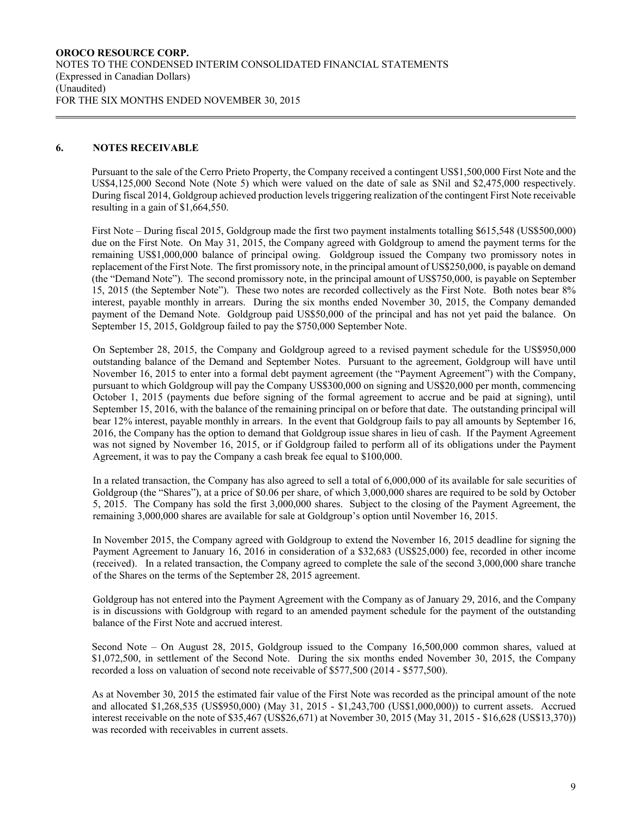#### **6. NOTES RECEIVABLE**

Pursuant to the sale of the Cerro Prieto Property, the Company received a contingent US\$1,500,000 First Note and the US\$4,125,000 Second Note (Note 5) which were valued on the date of sale as \$Nil and \$2,475,000 respectively. During fiscal 2014, Goldgroup achieved production levels triggering realization of the contingent First Note receivable resulting in a gain of \$1,664,550.

First Note – During fiscal 2015, Goldgroup made the first two payment instalments totalling \$615,548 (US\$500,000) due on the First Note. On May 31, 2015, the Company agreed with Goldgroup to amend the payment terms for the remaining US\$1,000,000 balance of principal owing. Goldgroup issued the Company two promissory notes in replacement of the First Note. The first promissory note, in the principal amount of US\$250,000, is payable on demand (the "Demand Note"). The second promissory note, in the principal amount of US\$750,000, is payable on September 15, 2015 (the September Note"). These two notes are recorded collectively as the First Note. Both notes bear 8% interest, payable monthly in arrears. During the six months ended November 30, 2015, the Company demanded payment of the Demand Note. Goldgroup paid US\$50,000 of the principal and has not yet paid the balance. On September 15, 2015, Goldgroup failed to pay the \$750,000 September Note.

On September 28, 2015, the Company and Goldgroup agreed to a revised payment schedule for the US\$950,000 outstanding balance of the Demand and September Notes. Pursuant to the agreement, Goldgroup will have until November 16, 2015 to enter into a formal debt payment agreement (the "Payment Agreement") with the Company, pursuant to which Goldgroup will pay the Company US\$300,000 on signing and US\$20,000 per month, commencing October 1, 2015 (payments due before signing of the formal agreement to accrue and be paid at signing), until September 15, 2016, with the balance of the remaining principal on or before that date. The outstanding principal will bear 12% interest, payable monthly in arrears. In the event that Goldgroup fails to pay all amounts by September 16, 2016, the Company has the option to demand that Goldgroup issue shares in lieu of cash. If the Payment Agreement was not signed by November 16, 2015, or if Goldgroup failed to perform all of its obligations under the Payment Agreement, it was to pay the Company a cash break fee equal to \$100,000.

In a related transaction, the Company has also agreed to sell a total of 6,000,000 of its available for sale securities of Goldgroup (the "Shares"), at a price of \$0.06 per share, of which 3,000,000 shares are required to be sold by October 5, 2015. The Company has sold the first 3,000,000 shares. Subject to the closing of the Payment Agreement, the remaining 3,000,000 shares are available for sale at Goldgroup's option until November 16, 2015.

In November 2015, the Company agreed with Goldgroup to extend the November 16, 2015 deadline for signing the Payment Agreement to January 16, 2016 in consideration of a \$32,683 (US\$25,000) fee, recorded in other income (received). In a related transaction, the Company agreed to complete the sale of the second 3,000,000 share tranche of the Shares on the terms of the September 28, 2015 agreement.

Goldgroup has not entered into the Payment Agreement with the Company as of January 29, 2016, and the Company is in discussions with Goldgroup with regard to an amended payment schedule for the payment of the outstanding balance of the First Note and accrued interest.

Second Note – On August 28, 2015, Goldgroup issued to the Company 16,500,000 common shares, valued at \$1,072,500, in settlement of the Second Note. During the six months ended November 30, 2015, the Company recorded a loss on valuation of second note receivable of \$577,500 (2014 - \$577,500).

As at November 30, 2015 the estimated fair value of the First Note was recorded as the principal amount of the note and allocated \$1,268,535 (US\$950,000) (May 31, 2015 - \$1,243,700 (US\$1,000,000)) to current assets. Accrued interest receivable on the note of \$35,467 (US\$26,671) at November 30, 2015 (May 31, 2015 - \$16,628 (US\$13,370)) was recorded with receivables in current assets.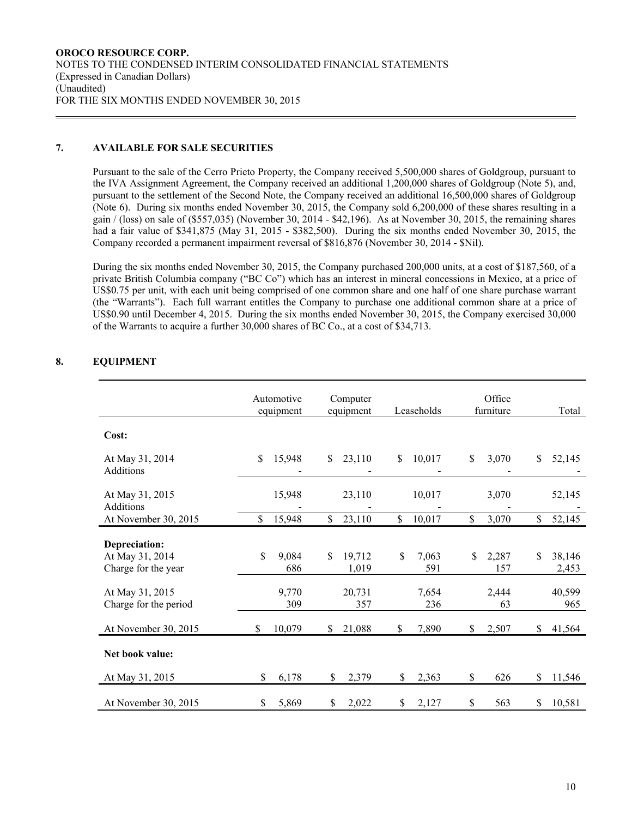## **7. AVAILABLE FOR SALE SECURITIES**

Pursuant to the sale of the Cerro Prieto Property, the Company received 5,500,000 shares of Goldgroup, pursuant to the IVA Assignment Agreement, the Company received an additional 1,200,000 shares of Goldgroup (Note 5), and, pursuant to the settlement of the Second Note, the Company received an additional 16,500,000 shares of Goldgroup (Note 6). During six months ended November 30, 2015, the Company sold 6,200,000 of these shares resulting in a gain / (loss) on sale of (\$557,035) (November 30, 2014 - \$42,196). As at November 30, 2015, the remaining shares had a fair value of \$341,875 (May 31, 2015 - \$382,500). During the six months ended November 30, 2015, the Company recorded a permanent impairment reversal of \$816,876 (November 30, 2014 - \$Nil).

During the six months ended November 30, 2015, the Company purchased 200,000 units, at a cost of \$187,560, of a private British Columbia company ("BC Co") which has an interest in mineral concessions in Mexico, at a price of US\$0.75 per unit, with each unit being comprised of one common share and one half of one share purchase warrant (the "Warrants"). Each full warrant entitles the Company to purchase one additional common share at a price of US\$0.90 until December 4, 2015. During the six months ended November 30, 2015, the Company exercised 30,000 of the Warrants to acquire a further 30,000 shares of BC Co., at a cost of \$34,713.

| ZULI MIER I                                             |              |                         |              |                       |                    |                     |              |                 |
|---------------------------------------------------------|--------------|-------------------------|--------------|-----------------------|--------------------|---------------------|--------------|-----------------|
|                                                         |              | Automotive<br>equipment |              | Computer<br>equipment | Leaseholds         | Office<br>furniture |              | Total           |
| Cost:                                                   |              |                         |              |                       |                    |                     |              |                 |
| At May 31, 2014<br>Additions                            | $\mathbb{S}$ | 15,948                  | \$           | 23,110                | \$<br>10,017       | \$<br>3,070         | \$           | 52,145          |
| At May 31, 2015<br>Additions                            |              | 15,948                  |              | 23,110                | 10,017             | 3,070               |              | 52,145          |
| At November 30, 2015                                    | \$           | 15,948                  | $\mathbb{S}$ | 23,110                | \$<br>10,017       | \$<br>3,070         | $\mathbb{S}$ | 52,145          |
| Depreciation:<br>At May 31, 2014<br>Charge for the year | \$           | 9,084<br>686            | \$           | 19,712<br>1,019       | \$<br>7,063<br>591 | \$<br>2,287<br>157  | \$           | 38,146<br>2,453 |
| At May 31, 2015<br>Charge for the period                |              | 9,770<br>309            |              | 20,731<br>357         | 7,654<br>236       | 2,444<br>63         |              | 40,599<br>965   |
| At November 30, 2015                                    | \$           | 10,079                  | \$           | 21,088                | \$<br>7,890        | \$<br>2,507         | \$           | 41,564          |
| Net book value:                                         |              |                         |              |                       |                    |                     |              |                 |
| At May 31, 2015                                         | \$           | 6,178                   | \$           | 2,379                 | \$<br>2,363        | \$<br>626           | \$           | 11,546          |
| At November 30, 2015                                    | \$           | 5,869                   | S            | 2,022                 | \$<br>2,127        | \$<br>563           | S            | 10,581          |
|                                                         |              |                         |              |                       |                    |                     |              |                 |

# **8. EQUIPMENT**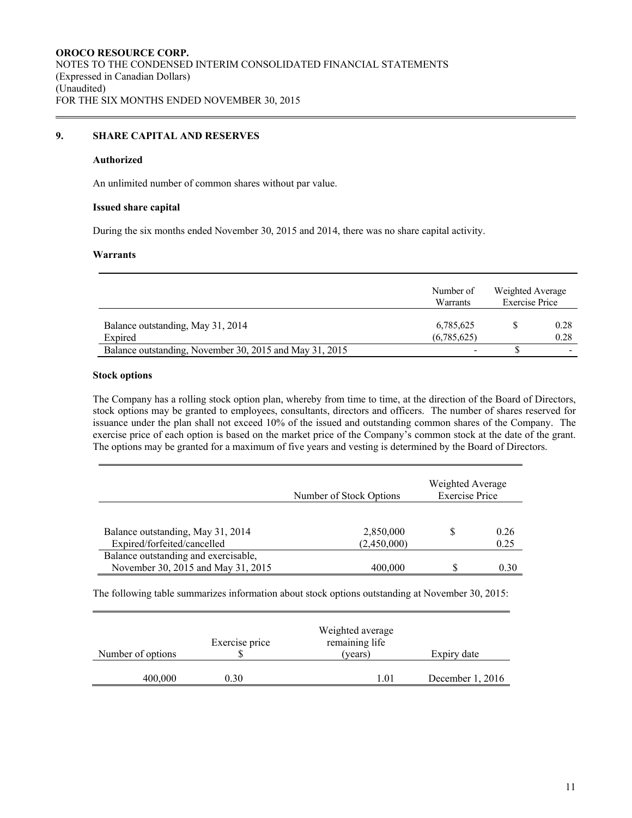## **9. SHARE CAPITAL AND RESERVES**

#### **Authorized**

An unlimited number of common shares without par value.

#### **Issued share capital**

During the six months ended November 30, 2015 and 2014, there was no share capital activity.

#### **Warrants**

|                                                         | Number of<br>Warrants    | Weighted Average<br><b>Exercise Price</b> |              |
|---------------------------------------------------------|--------------------------|-------------------------------------------|--------------|
| Balance outstanding, May 31, 2014<br>Expired            | 6,785,625<br>(6,785,625) |                                           | 0.28<br>0.28 |
| Balance outstanding, November 30, 2015 and May 31, 2015 |                          |                                           | -            |

#### **Stock options**

The Company has a rolling stock option plan, whereby from time to time, at the direction of the Board of Directors, stock options may be granted to employees, consultants, directors and officers. The number of shares reserved for issuance under the plan shall not exceed 10% of the issued and outstanding common shares of the Company. The exercise price of each option is based on the market price of the Company's common stock at the date of the grant. The options may be granted for a maximum of five years and vesting is determined by the Board of Directors.

|                                                                            | Number of Stock Options  | Weighted Average<br><b>Exercise Price</b> |              |  |
|----------------------------------------------------------------------------|--------------------------|-------------------------------------------|--------------|--|
| Balance outstanding, May 31, 2014<br>Expired/forfeited/cancelled           | 2,850,000<br>(2,450,000) |                                           | 0.26<br>0.25 |  |
| Balance outstanding and exercisable,<br>November 30, 2015 and May 31, 2015 | 400,000                  |                                           | 0.30         |  |

The following table summarizes information about stock options outstanding at November 30, 2015:

| Number of options | Exercise price | Weighted average<br>remaining life<br>(years) | Expiry date      |
|-------------------|----------------|-----------------------------------------------|------------------|
| 400,000           | 0.30           | 1.01                                          | December 1, 2016 |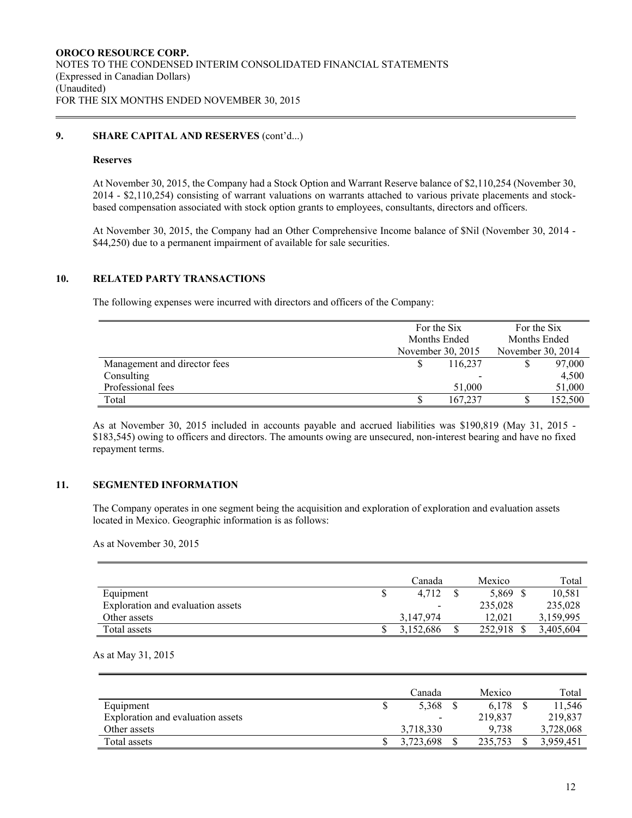### **9. SHARE CAPITAL AND RESERVES** (cont'd...)

#### **Reserves**

At November 30, 2015, the Company had a Stock Option and Warrant Reserve balance of \$2,110,254 (November 30, 2014 - \$2,110,254) consisting of warrant valuations on warrants attached to various private placements and stockbased compensation associated with stock option grants to employees, consultants, directors and officers.

At November 30, 2015, the Company had an Other Comprehensive Income balance of \$Nil (November 30, 2014 - \$44,250) due to a permanent impairment of available for sale securities.

#### **10. RELATED PARTY TRANSACTIONS**

The following expenses were incurred with directors and officers of the Company:

|                              | For the Six       | For the Six<br>Months Ended |         |  |
|------------------------------|-------------------|-----------------------------|---------|--|
|                              | Months Ended      |                             |         |  |
|                              | November 30, 2015 | November 30, 2014           |         |  |
| Management and director fees | 116,237           |                             | 97,000  |  |
| Consulting                   |                   |                             | 4.500   |  |
| Professional fees            | 51,000            |                             | 51,000  |  |
| Total                        | 167,237           |                             | 152,500 |  |

As at November 30, 2015 included in accounts payable and accrued liabilities was \$190,819 (May 31, 2015 - \$183,545) owing to officers and directors. The amounts owing are unsecured, non-interest bearing and have no fixed repayment terms.

### **11. SEGMENTED INFORMATION**

The Company operates in one segment being the acquisition and exploration of exploration and evaluation assets located in Mexico. Geographic information is as follows:

As at November 30, 2015

|                                   | Canada    | Mexico   | Total     |
|-----------------------------------|-----------|----------|-----------|
| Equipment                         | 4.712     | 5,869 \$ | 10,581    |
| Exploration and evaluation assets |           | 235,028  | 235,028   |
| Other assets                      | 3,147,974 | 12.021   | 3,159,995 |
| Total assets                      | 3.152.686 | 252,918  | 3,405,604 |

As at May 31, 2015

|                                   | Canada                   | Mexico  | Total     |
|-----------------------------------|--------------------------|---------|-----------|
| Equipment                         | 5,368                    | 6.178   | 11.546    |
| Exploration and evaluation assets | $\overline{\phantom{a}}$ | 219,837 | 219,837   |
| Other assets                      | 3.718.330                | 9.738   | 3,728,068 |
| Total assets                      | 3.723.698                | 235,753 | 3.959.451 |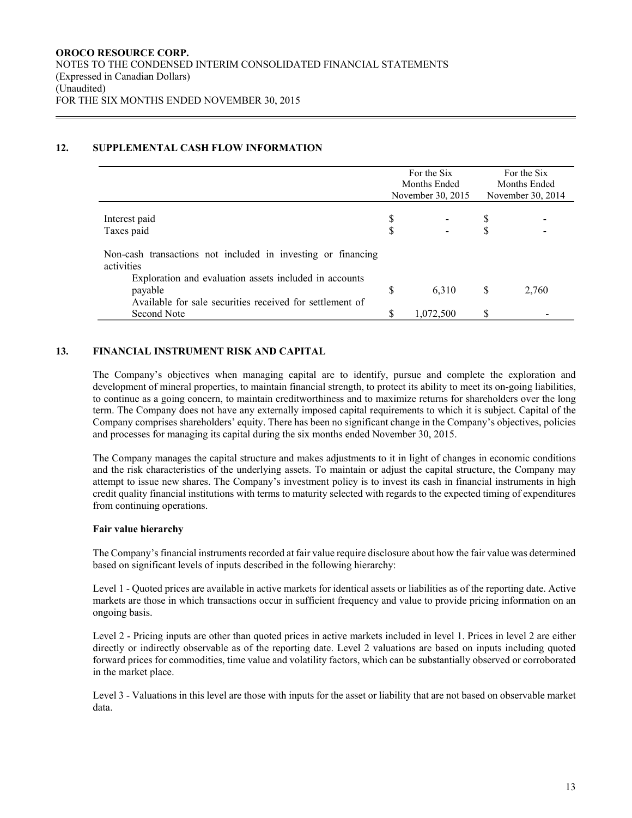## **12. SUPPLEMENTAL CASH FLOW INFORMATION**

|                                                                            | For the Six<br>Months Ended<br>November 30, 2015 |           | For the Six<br>Months Ended<br>November 30, 2014 |       |
|----------------------------------------------------------------------------|--------------------------------------------------|-----------|--------------------------------------------------|-------|
|                                                                            |                                                  |           |                                                  |       |
| Interest paid                                                              | S                                                |           | S                                                |       |
| Taxes paid                                                                 | S                                                |           |                                                  |       |
| Non-cash transactions not included in investing or financing<br>activities |                                                  |           |                                                  |       |
| Exploration and evaluation assets included in accounts                     |                                                  |           |                                                  |       |
| payable                                                                    | \$                                               | 6,310     | <sup>S</sup>                                     | 2,760 |
| Available for sale securities received for settlement of                   |                                                  |           |                                                  |       |
| Second Note                                                                | \$                                               | 1,072,500 | \$.                                              |       |

### **13. FINANCIAL INSTRUMENT RISK AND CAPITAL**

The Company's objectives when managing capital are to identify, pursue and complete the exploration and development of mineral properties, to maintain financial strength, to protect its ability to meet its on-going liabilities, to continue as a going concern, to maintain creditworthiness and to maximize returns for shareholders over the long term. The Company does not have any externally imposed capital requirements to which it is subject. Capital of the Company comprises shareholders' equity. There has been no significant change in the Company's objectives, policies and processes for managing its capital during the six months ended November 30, 2015.

The Company manages the capital structure and makes adjustments to it in light of changes in economic conditions and the risk characteristics of the underlying assets. To maintain or adjust the capital structure, the Company may attempt to issue new shares. The Company's investment policy is to invest its cash in financial instruments in high credit quality financial institutions with terms to maturity selected with regards to the expected timing of expenditures from continuing operations.

### **Fair value hierarchy**

The Company's financial instruments recorded at fair value require disclosure about how the fair value was determined based on significant levels of inputs described in the following hierarchy:

Level 1 - Quoted prices are available in active markets for identical assets or liabilities as of the reporting date. Active markets are those in which transactions occur in sufficient frequency and value to provide pricing information on an ongoing basis.

Level 2 - Pricing inputs are other than quoted prices in active markets included in level 1. Prices in level 2 are either directly or indirectly observable as of the reporting date. Level 2 valuations are based on inputs including quoted forward prices for commodities, time value and volatility factors, which can be substantially observed or corroborated in the market place.

Level 3 - Valuations in this level are those with inputs for the asset or liability that are not based on observable market data.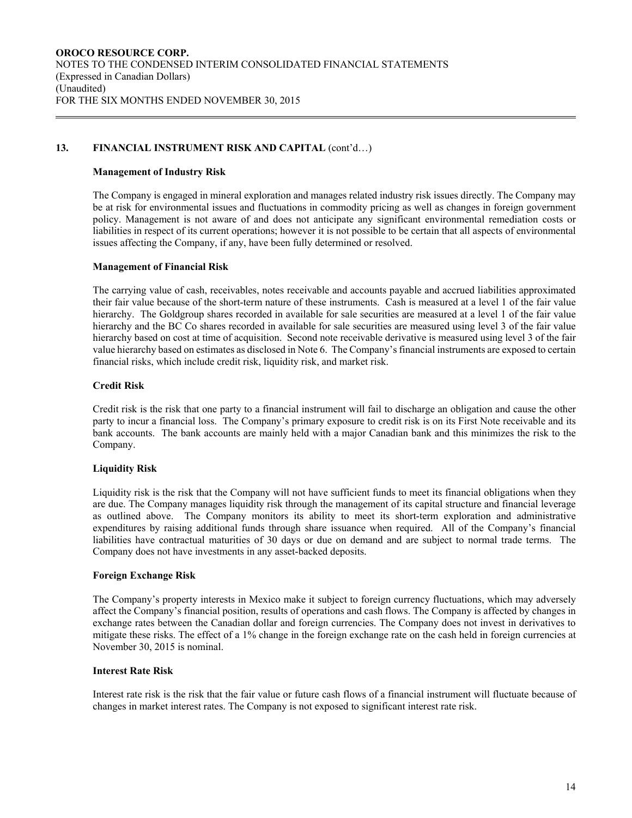## 13. FINANCIAL INSTRUMENT RISK AND CAPITAL (cont'd...)

#### **Management of Industry Risk**

The Company is engaged in mineral exploration and manages related industry risk issues directly. The Company may be at risk for environmental issues and fluctuations in commodity pricing as well as changes in foreign government policy. Management is not aware of and does not anticipate any significant environmental remediation costs or liabilities in respect of its current operations; however it is not possible to be certain that all aspects of environmental issues affecting the Company, if any, have been fully determined or resolved.

#### **Management of Financial Risk**

The carrying value of cash, receivables, notes receivable and accounts payable and accrued liabilities approximated their fair value because of the short-term nature of these instruments. Cash is measured at a level 1 of the fair value hierarchy. The Goldgroup shares recorded in available for sale securities are measured at a level 1 of the fair value hierarchy and the BC Co shares recorded in available for sale securities are measured using level 3 of the fair value hierarchy based on cost at time of acquisition. Second note receivable derivative is measured using level 3 of the fair value hierarchy based on estimates as disclosed in Note 6. The Company's financial instruments are exposed to certain financial risks, which include credit risk, liquidity risk, and market risk.

### **Credit Risk**

Credit risk is the risk that one party to a financial instrument will fail to discharge an obligation and cause the other party to incur a financial loss. The Company's primary exposure to credit risk is on its First Note receivable and its bank accounts. The bank accounts are mainly held with a major Canadian bank and this minimizes the risk to the Company.

### **Liquidity Risk**

Liquidity risk is the risk that the Company will not have sufficient funds to meet its financial obligations when they are due. The Company manages liquidity risk through the management of its capital structure and financial leverage as outlined above. The Company monitors its ability to meet its short-term exploration and administrative expenditures by raising additional funds through share issuance when required. All of the Company's financial liabilities have contractual maturities of 30 days or due on demand and are subject to normal trade terms. The Company does not have investments in any asset-backed deposits.

### **Foreign Exchange Risk**

The Company's property interests in Mexico make it subject to foreign currency fluctuations, which may adversely affect the Company's financial position, results of operations and cash flows. The Company is affected by changes in exchange rates between the Canadian dollar and foreign currencies. The Company does not invest in derivatives to mitigate these risks. The effect of a 1% change in the foreign exchange rate on the cash held in foreign currencies at November 30, 2015 is nominal.

### **Interest Rate Risk**

Interest rate risk is the risk that the fair value or future cash flows of a financial instrument will fluctuate because of changes in market interest rates. The Company is not exposed to significant interest rate risk.